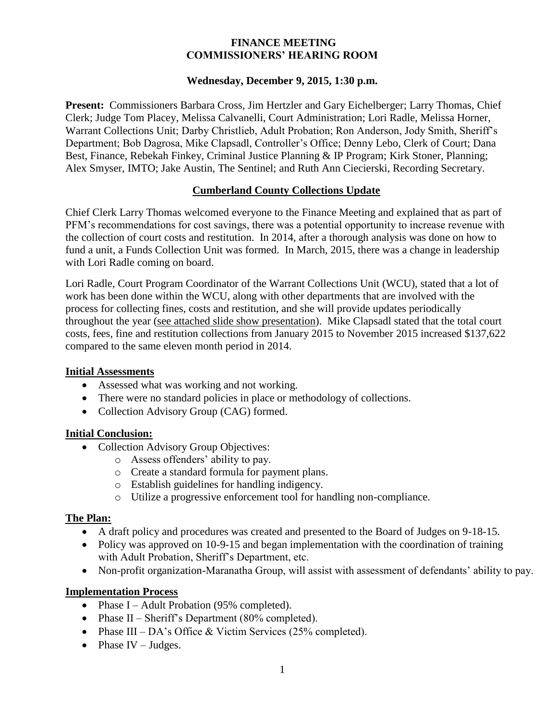### **FINANCE MEETING COMMISSIONERS' HEARING ROOM**

### **Wednesday, December 9, 2015, 1:30 p.m.**

**Present:** Commissioners Barbara Cross, Jim Hertzler and Gary Eichelberger; Larry Thomas, Chief Clerk; Judge Tom Placey, Melissa Calvanelli, Court Administration; Lori Radle, Melissa Horner, Warrant Collections Unit; Darby Christlieb, Adult Probation; Ron Anderson, Jody Smith, Sheriff's Department; Bob Dagrosa, Mike Clapsadl, Controller's Office; Denny Lebo, Clerk of Court; Dana Best, Finance, Rebekah Finkey, Criminal Justice Planning & IP Program; Kirk Stoner, Planning; Alex Smyser, IMTO; Jake Austin, The Sentinel; and Ruth Ann Ciecierski, Recording Secretary.

### **Cumberland County Collections Update**

Chief Clerk Larry Thomas welcomed everyone to the Finance Meeting and explained that as part of PFM's recommendations for cost savings, there was a potential opportunity to increase revenue with the collection of court costs and restitution. In 2014, after a thorough analysis was done on how to fund a unit, a Funds Collection Unit was formed. In March, 2015, there was a change in leadership with Lori Radle coming on board.

Lori Radle, Court Program Coordinator of the Warrant Collections Unit (WCU), stated that a lot of work has been done within the WCU, along with other departments that are involved with the process for collecting fines, costs and restitution, and she will provide updates periodically throughout the year (see attached slide show presentation). Mike Clapsadl stated that the total court costs, fees, fine and restitution collections from January 2015 to November 2015 increased \$137,622 compared to the same eleven month period in 2014.

#### **Initial Assessments**

- Assessed what was working and not working.
- There were no standard policies in place or methodology of collections.
- Collection Advisory Group (CAG) formed.

#### **Initial Conclusion:**

- Collection Advisory Group Objectives:
	- o Assess offenders' ability to pay.
	- o Create a standard formula for payment plans.
	- o Establish guidelines for handling indigency.
	- o Utilize a progressive enforcement tool for handling non-compliance.

### **The Plan:**

- A draft policy and procedures was created and presented to the Board of Judges on 9-18-15.
- Policy was approved on 10-9-15 and began implementation with the coordination of training with Adult Probation, Sheriff's Department, etc.
- Non-profit organization-Maranatha Group, will assist with assessment of defendants' ability to pay.

#### **Implementation Process**

- $\overline{\bullet}$  Phase I Adult Probation (95% completed).
- Phase II Sheriff's Department (80% completed).
- Phase III DA's Office & Victim Services  $(25\%$  completed).
- Phase IV Judges.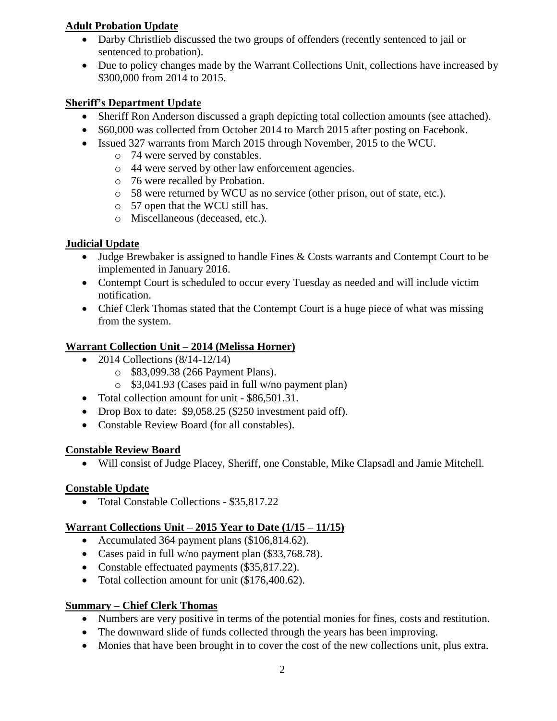## **Adult Probation Update**

- Darby Christlieb discussed the two groups of offenders (recently sentenced to jail or sentenced to probation).
- Due to policy changes made by the Warrant Collections Unit, collections have increased by \$300,000 from 2014 to 2015.

## **Sheriff's Department Update**

- Sheriff Ron Anderson discussed a graph depicting total collection amounts (see attached).
- \$60,000 was collected from October 2014 to March 2015 after posting on Facebook.
- Issued 327 warrants from March 2015 through November, 2015 to the WCU.
	- o 74 were served by constables.
	- o 44 were served by other law enforcement agencies.
	- o 76 were recalled by Probation.
	- o 58 were returned by WCU as no service (other prison, out of state, etc.).
	- o 57 open that the WCU still has.
	- o Miscellaneous (deceased, etc.).

# **Judicial Update**

- Judge Brewbaker is assigned to handle Fines & Costs warrants and Contempt Court to be implemented in January 2016.
- Contempt Court is scheduled to occur every Tuesday as needed and will include victim notification.
- Chief Clerk Thomas stated that the Contempt Court is a huge piece of what was missing from the system.

# **Warrant Collection Unit – 2014 (Melissa Horner)**

- 2014 Collections  $(8/14-12/14)$ 
	- o \$83,099.38 (266 Payment Plans).
	- o \$3,041.93 (Cases paid in full w/no payment plan)
- Total collection amount for unit \$86,501.31.
- Drop Box to date: \$9,058.25 (\$250 investment paid off).
- Constable Review Board (for all constables).

## **Constable Review Board**

Will consist of Judge Placey, Sheriff, one Constable, Mike Clapsadl and Jamie Mitchell.

# **Constable Update**

• Total Constable Collections - \$35,817.22

# **Warrant Collections Unit – 2015 Year to Date (1/15 – 11/15)**

- Accumulated 364 payment plans (\$106,814.62).
- Cases paid in full w/no payment plan (\$33,768.78).
- Constable effectuated payments (\$35,817.22).
- Total collection amount for unit (\$176,400.62).

# **Summary – Chief Clerk Thomas**

- Numbers are very positive in terms of the potential monies for fines, costs and restitution.
- The downward slide of funds collected through the years has been improving.
- Monies that have been brought in to cover the cost of the new collections unit, plus extra.